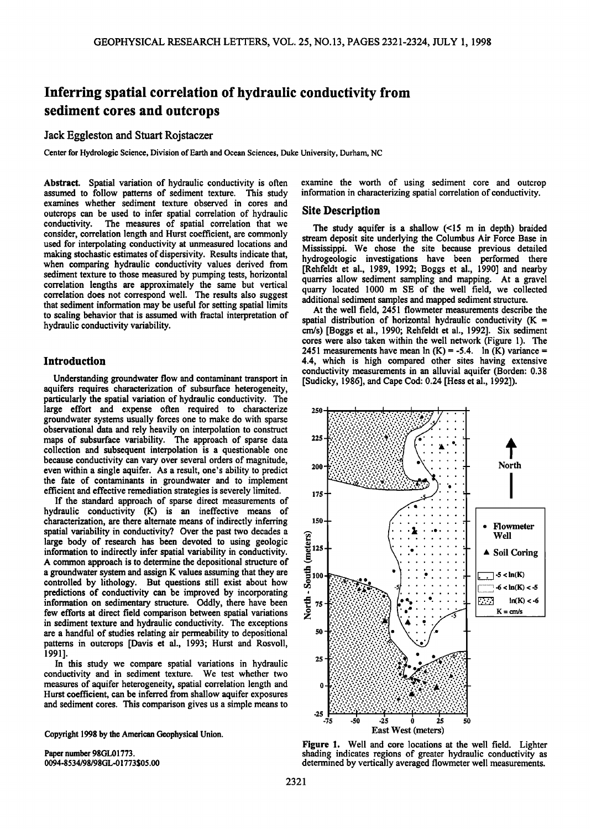# **Inferring spatial correlation of hydraulic conductivity from sediment cores and outcrops**

# **Jack Eggleston and Stuart Rojstaczer**

**Center for Hydrologic Science, Division of Earth and Ocean Sciences, Duke University, Durham, NC** 

Abstract. Spatial variation of hydraulic conductivity is often **assumed to follow patterns of sediment texture. This study examines whether sediment texture observed in cores and outcrops can be used to infer spatial correlation of hydraulic**  The measures of spatial correlation that we **consider, correlation length and Hurst coefficient, are commonly used for interpolating conductivity at unmeasured locations and making stochastic estimates of dispersivity. Results indicate that, when comparing hydraulic conductivity values derived from sediment texture to those measured by pumping tests, horizontal correlation lengths are approximately the same but vertical correlation does not correspond well. The results also suggest that sediment information may be useful for setting spatialimits to scaling behavior that is assumed with fractal interpretation of hydraulic conductivity variability.** 

# **Introduction**

**Understanding groundwater flow and contaminant transport in aquifers requires characterization of subsurface heterogeneity,**  particularly the spatial variation of hydraulic conductivity. The **large effort and expense often required to characterize groundwater systems usually forces one to make do with sparse observational data and rely heavily on interpolation to construct maps of subsurface variability. The approach of sparse data collection and subsequent interpolation is a questionable one because conductivity can vary over several orders of magnitude, even within a single aquifer. As a result, one's ability to predict the fate of contaminants in groundwater and to implement efficient and effective remediation strategies is severely limited.** 

**If the standard approach of sparse direct measurements of hydraulic conductivity (K) is an ineffective means of characterization, are there alternate means of indirectly inferring spatial variability in conductivity? Over the past two decades a large body of research has been devoted to using geologic information to indirectly infer spatial variability in conductivity. A common approach is to determine the depositional structure of a groundwater system and assign K values assuming that they are controlled by lithology. But questions still exist about how predictions of conductivity can be improved by incorporating information on sedimentary structure. Oddly, there have been few efforts at direct field comparison between spatial variations in sediment texture and hydraulic conductivity. The exceptions are a handful of studies relating air permeability to depositional patterns in outcrops [Davis et al., 1993; Hurst and Rosvoll, 1991].** 

**In this study we compare spatial variations in hydraulic conductivity and in sediment texture. We test whether two measures of aquifer heterogeneity, spatial correlation length and Hurst coefficient, can be inferred from shallow aquifer exposures and sediment cores. This comparison gives us a simple means to** 

**Copyright 1998 by the American Geophysical Union.** 

**Paper number 98GL01773. 0094-8534/98/98GL-01773505.00**  **examine the worth of using sediment core and outcrop information in characterizing spatial correlation of conductivity.** 

# **Site Description**

**The study aquifer is a shallow (<15 m in depth) braided stream deposit site underlying the Columbus Air Force Base in Mississippi. We chose the site because previous detailed hydrogeologic investigations have been performed there [Rehfeldt et al., 1989, 1992; Boggs et al., 1990] and nearby quarries allow sediment sampling and mapping. At a gravel quarry located 1000 m SE of the well field, we collected additional sediment samples and mapped sediment structure.** 

**At the well field, 2451 flowmeter measurements describe the spatial distribution of horizontal hydraulic conductivity (K = cm/s) [Boggs et al., 1990; Rehfeldt et al., 1992]. Six sediment cores were also taken within the well network (Figure 1). The 2451 measurements have mean**  $\ln(K) = -5.4$ **.**  $\ln(K)$  variance = **4.4, which is high compared other sites having extensive conductivity measurements in an alluvial aquifer (Borden: 0.38 [Sudicky, 1986], and Cape Cod: 0.24 [Hess et al., 1992]).** 



**Figure 1. Well and core locations at the well field. Lighter shading indicates regions of greater hydraulic conductivity as determined by vertically averaged flowmeter well measurements.**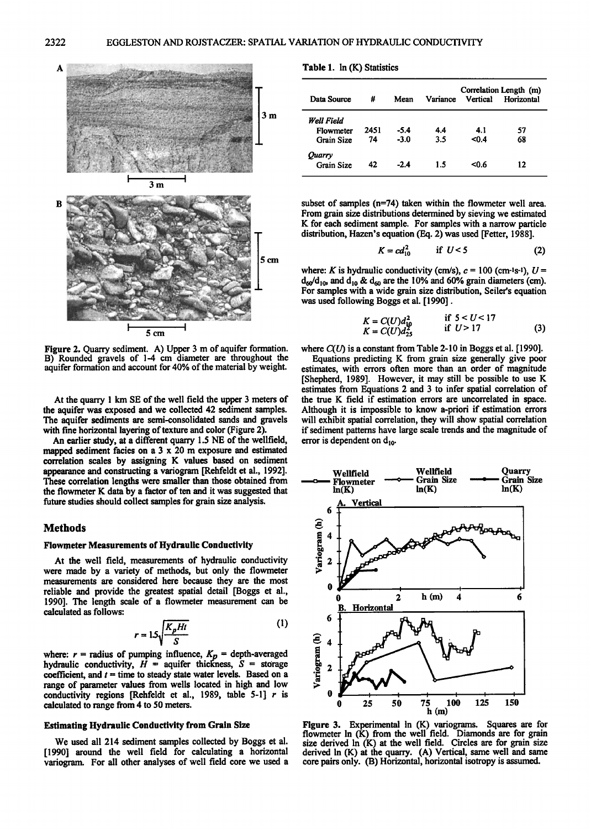

Figure 2. Quarry sediment. A) Upper 3 m of aquifer formation.<br>B) Rounded gravels of 1-4 cm diameter are throughout the aquifer formation and account for 40% of the material by weight.

At the quarry 1 km SE of the well field the upper 3 meters of the aquifer was exposed and we collected 42 sediment samples. The aquifer sediments are semi-consolidated sands and gravels with fine horizontal layering of texture and color (Figure 2).

An earlier study, at a different quarry 1.5 NE of the wellfield, mapped sediment facies on a  $3 \times 20$  m exposure and estimated correlation scales by assigning K values based on sediment appearance and constructing a variogram [Rehfeldt et al., 1992]. These correlation lengths were smaller than those obtained from the flowmeter K data by a factor of ten and it was suggested that future studies should collect samples for grain size analysis.

#### **Methods**

#### **Flowmeter Measurements of Hydraulic Conductivity**

At the well field, measurements of hydraulic conductivity were made by a variety of methods, but only the flowmeter measurements are considered here because they are the most reliable and provide the greatest spatial detail [Boggs et al., 1990]. The length scale of a flowmeter measurement can be calculated as follows:

$$
r = 1.5\sqrt{\frac{K_p H t}{S}}
$$
 (1)

where:  $r =$  radius of pumping influence,  $K_p =$  depth-averaged hydraulic conductivity,  $\vec{H}$  = aquifer thickness,  $\vec{S}$  = storage coefficient, and  $t =$  time to steady state water levels. Based on a range of parameter values from wells located in high and low conductivity regions [Rehfeldt et al., 1989, table 5-1]  $r$  is calculated to range from 4 to 50 meters.

#### **Estimating Hydraulic Conductivity from Grain Size**

We used all 214 sediment samples collected by Boggs et al. [1990] around the well field for calculating a horizontal variogram. For all other analyses of well field core we used a

|  |  |  |  |  |  |  | Table 1. In (K) Statistics |
|--|--|--|--|--|--|--|----------------------------|
|--|--|--|--|--|--|--|----------------------------|

| Data Source       | #    | Mean   | Variance | Vertical | Correlation Length (m)<br>Horizontal |
|-------------------|------|--------|----------|----------|--------------------------------------|
| <b>Well Field</b> |      |        |          |          |                                      |
| Flowmeter         | 2451 | $-5.4$ | 4.4      | 4.1      | 57                                   |
| Grain Size        | 74   | $-3.0$ | 3.5      | < 0.4    | 68                                   |
| Quarry            |      |        |          |          |                                      |
| Grain Size        | 42   | $-2.4$ | 1.5      | <0.6     | 12                                   |

subset of samples (n=74) taken within the flowmeter well area. From grain size distributions determined by sieving we estimated K for each sediment sample. For samples with a narrow particle distribution, Hazen's equation (Eq. 2) was used [Fetter, 1988].

$$
K = cd_{10}^2 \qquad \text{if } U < 5 \tag{2}
$$

where: K is hydraulic conductivity (cm/s),  $c = 100$  (cm-1s-1),  $U =$  $d_{60}/d_{10}$ , and  $d_{10}$  &  $d_{60}$  are the 10% and 60% grain diameters (cm). For samples with a wide grain size distribution, Seiler's equation was used following Boggs et al. [1990].

$$
K = C(U)d_{10}^{2}
$$
 if  $5 < U < 17$   
\n
$$
K = C(U)d_{25}^{2}
$$
 if  $U > 17$  (3)

where  $C(U)$  is a constant from Table 2-10 in Boggs et al. [1990].

Equations predicting K from grain size generally give poor estimates, with errors often more than an order of magnitude [Shepherd, 1989]. However, it may still be possible to use K estimates from Equations 2 and 3 to infer spatial correlation of the true K field if estimation errors are uncorrelated in space. Although it is impossible to know a-priori if estimation errors will exhibit spatial correlation, they will show spatial correlation if sediment patterns have large scale trends and the magnitude of error is dependent on  $d_{10}$ .



Figure 3. Experimental in (K) variograms. Squares are for flowmeter in (K) from the well field. Diamonds are for grain size derived in (K) at the well field. Circles are for grain size derived ln (K) at the quarry. (A) Vertical, same well and same<br>core pairs only. (B) Horizontal, horizontal isotropy is assumed.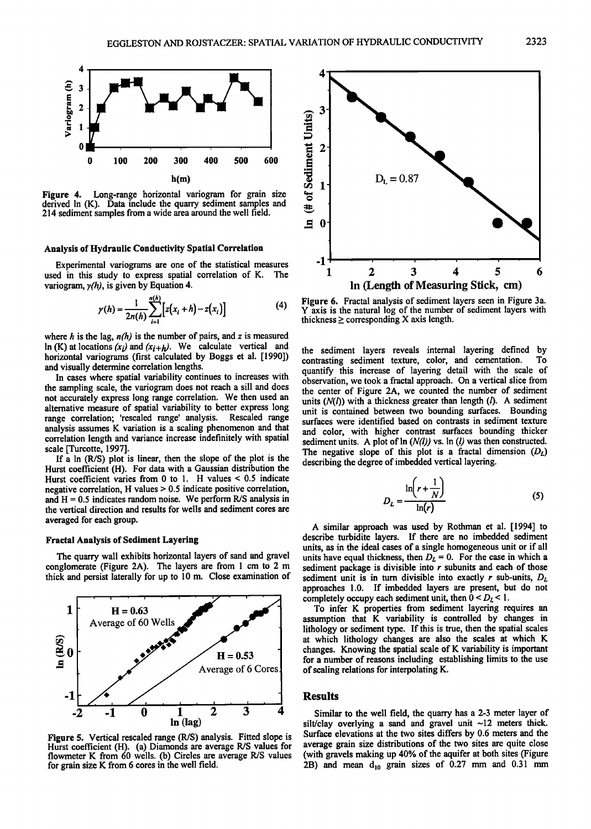

**Figure 4. Long-range horizontal variogram for grain size derived In (K). Data include the quarry sediment samples and 214 sediment samples from a wide area around the well field.** 

#### **Analysis of Hydraulic Conductivity Spatial Correlation**

**Experimental variograms are one of the statistical measures used in this study to express spatial correlation of K. The**  variogram,  $y(h)$ , is given by Equation 4.

$$
\gamma(h) = \frac{1}{2n(h)} \sum_{i=1}^{n(h)} [z(x_i + h) - z(x_i)]
$$
 (4)

where  $h$  is the lag,  $n(h)$  is the number of pairs, and  $z$  is measured  $\ln(K)$  at locations  $(x_i)$  and  $(x_{i+h})$ . We calculate vertical and **horizontal variograms (first calculated by Boggs et al. [1990]) and visually determine correlation lengths.** 

**In cases where spatial variability continues to increases with the sampling scale, the variogram does not reach a sill and does not accurately express long range correlation. We then used an alternative measure of spatial variability to better express long range correlation; 'rescaled range' analysis. Rescaled range analysis assumes K variation is a scaling phenomenon ad that correlation length and variance increase indefinitely with spatial scale [Turcotte, 1997].** 

**If a In (R/S) plot is linear, then the slope of the plot is the Hurst coefficient (H). For data with a Gaussian distribution the Hurst coefficient varies from 0 to 1. H values < 0.5 indicate negative correlation, H values > 0.5 indicate positive correlation, and H = 0.5 indicates random noise. We perform R/S analysis in the vertical direction and results for wells and sediment cores are averaged for each group.** 

#### **Fractal Analysis of Sediment Layering**

**The quarry wall exhibits horizontal layers of sand and gravel conglomerate (Figure 2A). The layers are from 1 cm to 2 m thick and persist laterally for up to 10 m. Close examination of** 



**Figure 5. Vertical rescaled range (R/S) analysis. Fitted slope is Hurst coefficient (H). (a) Diamonds are average R/S values for flowmeter K from 60 wells. (b) Circles are average R/S values for grain size K from 6 cores in the well field.** 



**Figure 6. Fractal analysis of sediment layers seen in Figure 3a. Y axis is the natural log of the number of sediment layers with**   $thickness \geq corresponding X axis length.$ 

**the sediment layers reveals internal layering defined by**  contrasting sediment texture, color, and cementation. **quantify this increase of layering detail with the scale of observation, we took a fractal approach. On a vertical slice from the center of Figure 2A, we counted the number of sediment**  units  $(N(l))$  with a thickness greater than length  $(l)$ . A sediment **unit is contained between two bounding surfaces. Bounding surfaces were identified based on contrasts in sediment texture and color, with higher contrast surfaces bounding thicker**  sediment units. A plot of  $\ln(N(l))$  vs.  $\ln(l)$  was then constructed. The negative slope of this plot is a fractal dimension  $(D_L)$ **describing the degree of imbedded vertical layering.** 

$$
D_L = \frac{\ln\left(r + \frac{1}{N}\right)}{\ln(r)}
$$
 (5)

**A similar approach was used by Rothman et al. [1994] to describe turbiditc layers. If there are no imbedded sediment units, as in the ideal cases of a single homogeneous unit or if all**  units have equal thickness, then  $D_L = 0$ . For the case in which a **sediment package is divisible into r subunits and each of those**  sediment unit is in turn divisible into exactly  $r$  sub-units,  $D<sub>L</sub>$ **approaches 1.0. If imbedded layers are present, but do not**  completely occupy each sediment unit, then  $0 < D<sub>L</sub> < 1$ .

**To infer K properties from sediment layering requires an assumption that K variability is controlled by changes in lithology or sediment type. If this is true, then the spatial scales at which lithology changes are also the scales at which K changes. Knowing the spatial scale of K variability is important for a number of reasons including establishing limits to the use of scaling relations for interpolating K.** 

#### **Results**

**Similar to the well field, the quarry has a 2-3 meter layer of silt/clay overlying a sand and gravel unit-12 meters thick. Surface elevations at the two sites differs by 0.6 meters and the average grain size distributions of the two sites are quite close (with gravels making up 40% of the aquifer at both sites (Figure**  2B) and mean d<sub>10</sub> grain sizes of 0.27 mm and 0.31 mm